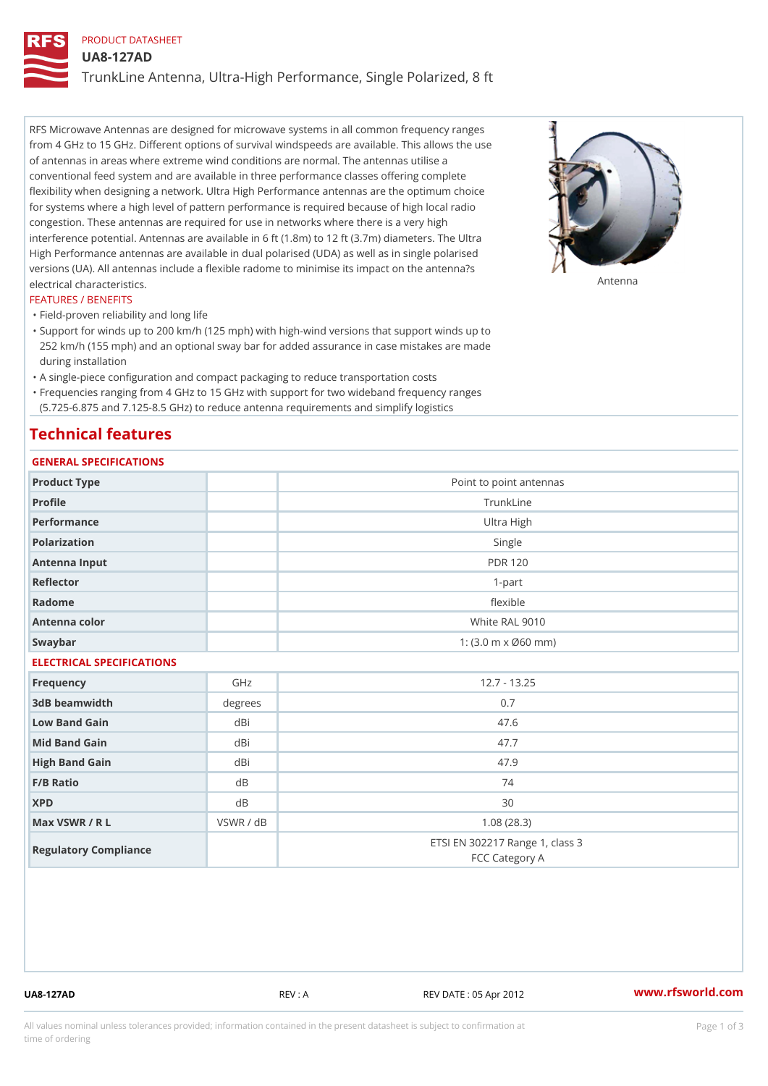# PRODUCT DATASHEET UA8-127AD TrunkLine Antenna, Ultra-High Performance, Single Polarized, 8 ft

RFS Microwave Antennas are designed for microwave systems in all common frequency ranges from 4 GHz to 15 GHz. Different options of survival windspeeds are available. This allows the use of antennas in areas where extreme wind conditions are normal. The antennas utilise a conventional feed system and are available in three performance classes offering complete flexibility when designing a network. Ultra High Performance antennas are the optimum choice for systems where a high level of pattern performance is required because of high local radio congestion. These antennas are required for use in networks where there is a very high interference potential. Antennas are available in 6 ft (1.8m) to 12 ft (3.7m) diameters. The Ultra High Performance antennas are available in dual polarised (UDA) as well as in single polarised versions (UA). All antennas include a flexible radome to minimise its impact on the antenna?s electrical characteristics. Antenna

### FEATURES / BENEFITS

"Field-proven reliability and long life

- Support for winds up to 200 km/h (125 mph) with high-wind versions that support winds up to " 252 km/h (155 mph) and an optional sway bar for added assurance in case mistakes are made during installation
- "A single-piece configuration and compact packaging to reduce transportation costs
- Frequencies ranging from 4 GHz to 15 GHz with support for two wideband frequency ranges "
- (5.725-6.875 and 7.125-8.5 GHz) to reduce antenna requirements and simplify logistics

## Technical features

## GENERAL SPECIFICATIONS

| GENERAL SPECIFICATIONS    |             |                                                         |  |  |
|---------------------------|-------------|---------------------------------------------------------|--|--|
| Product Type              |             | Point to point antennas                                 |  |  |
| Profile                   |             | TrunkLine                                               |  |  |
| Performance               |             | Ultra High                                              |  |  |
| Polarization              |             | Single                                                  |  |  |
| Antenna Input             |             | <b>PDR 120</b>                                          |  |  |
| Reflector                 | $1 - p$ art |                                                         |  |  |
| Radome                    | flexible    |                                                         |  |  |
| Antenna color             |             | White RAL 9010                                          |  |  |
| Swaybar                   |             | 1: $(3.0 \, \text{m} \times \emptyset 60 \, \text{mm})$ |  |  |
| ELECTRICAL SPECIFICATIONS |             |                                                         |  |  |
| Frequency                 | GHz         | $12.7 - 13.25$                                          |  |  |
| 3dB beamwidth             | degrees     | 0.7                                                     |  |  |
| Low Band Gain             | dBi         | 47.6                                                    |  |  |
| Mid Band Gain             | dBi         | 47.7                                                    |  |  |
| High Band Gain            | dBi         | 47.9                                                    |  |  |
| F/B Ratio                 | d B         | 74                                                      |  |  |
| <b>XPD</b>                | d B         | 30                                                      |  |  |
| Max VSWR / R L            | VSWR / dB   | 1.08(28.3)                                              |  |  |
| Regulatory Compliance     |             | ETSI EN 302217 Range 1, class 3<br>FCC Category A       |  |  |

UA8-127AD REV : A REV DATE : 05 Apr 2012 [www.](https://www.rfsworld.com)rfsworld.com

All values nominal unless tolerances provided; information contained in the present datasheet is subject to Pcapgeign mation time of ordering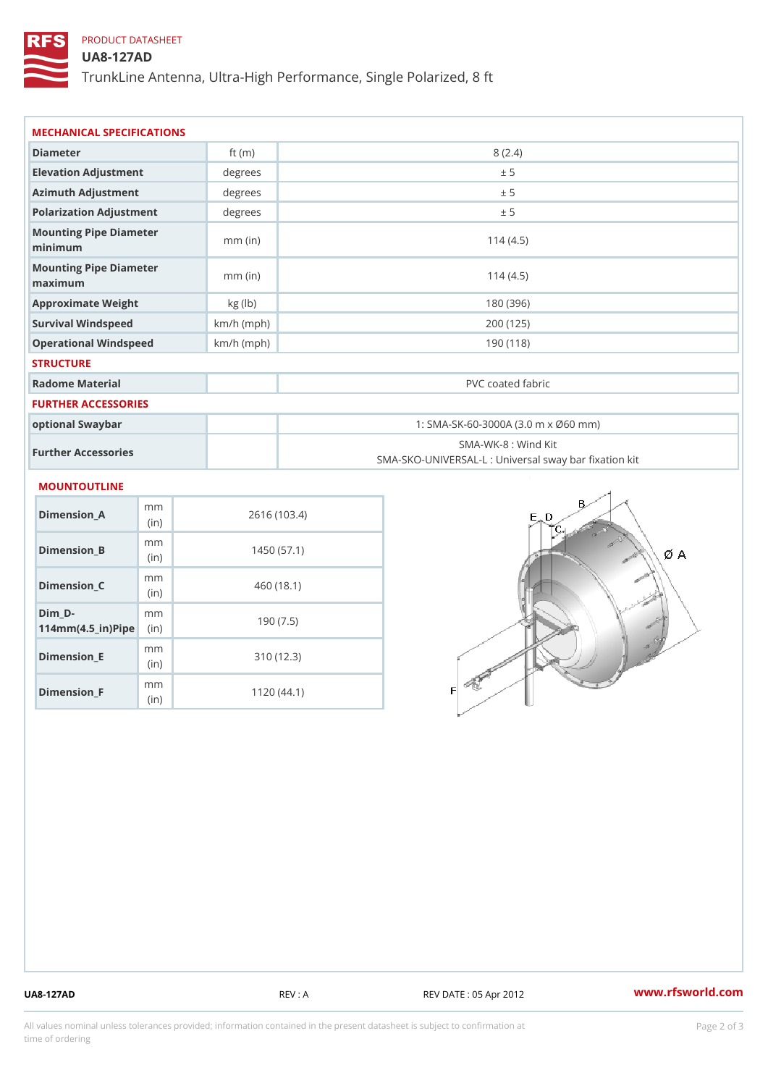# PRODUCT DATASHEET

(in)

m<sub>m</sub> (in)

Dimension\_F

## UA8-127AD

TrunkLine Antenna, Ultra-High Performance, Single Polarized, 8 ft

| MECHANICAL SPECIFICATIONS                                                     |              |                                                                          |  |  |
|-------------------------------------------------------------------------------|--------------|--------------------------------------------------------------------------|--|--|
| Diameter                                                                      | ft $(m)$     | 8(2.4)                                                                   |  |  |
| Elevation Adjustment                                                          | degrees      | ± 5                                                                      |  |  |
| Azimuth Adjustment                                                            | degrees      | ± 5                                                                      |  |  |
| Polarization Adjustment                                                       | degrees      | ± 5                                                                      |  |  |
| Mounting Pipe Diameter<br>minimum                                             | $mm$ (in)    | 114(4.5)                                                                 |  |  |
| Mounting Pipe Diameter<br>maximum                                             | $mm$ (in)    | 114(4.5)                                                                 |  |  |
| Approximate Weight                                                            | kg (lb)      | 180 (396)                                                                |  |  |
| Survival Windspeed                                                            | $km/h$ (mph) | 200 (125)                                                                |  |  |
| Operational Windspeed                                                         | $km/h$ (mph) | 190 (118)                                                                |  |  |
| <b>STRUCTURE</b>                                                              |              |                                                                          |  |  |
| Radome Material                                                               |              | PVC coated fabric                                                        |  |  |
| FURTHER ACCESSORIES                                                           |              |                                                                          |  |  |
| optional Swaybar                                                              |              | 1: SMA-SK-60-3000A (3.0 m x Ø60 mm)                                      |  |  |
| Further Accessories                                                           |              | SMA-WK-8 : Wind Kit<br>SMA-SKO-UNIVERSAL-L : Universal sway bar fixation |  |  |
| MOUNTOUTLINE                                                                  |              |                                                                          |  |  |
| m m<br>$Dimension_A$<br>(in)                                                  |              | 2616 (103.4)                                                             |  |  |
| m m<br>$Dimension_B$<br>(in)                                                  |              | 1450(57.1)                                                               |  |  |
| m m<br>$Dimension_C$<br>(in)                                                  |              | 460 (18.1)                                                               |  |  |
| $Dim_D - D -$<br>m m<br>$114$ m m $(4.5$ ir $)$ $\sqrt{$ ii $\sqrt{p}}$ $\ge$ |              | 190(7.5)                                                                 |  |  |
| m m<br>$Dimension$ = $E$                                                      |              | 310(12.3)                                                                |  |  |

310 (12.3)

1120 (44.1)

UA8-127AD REV : A REV DATE : 05 Apr 2012 [www.](https://www.rfsworld.com)rfsworld.com